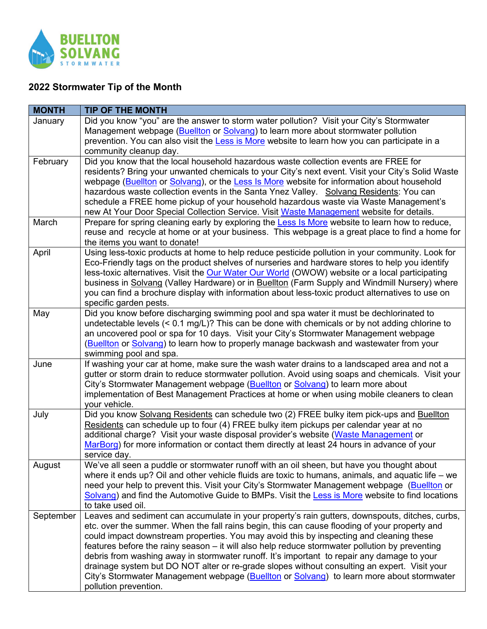

## **2022 Stormwater Tip of the Month**

| <b>MONTH</b> | <b>TIP OF THE MONTH</b>                                                                                                                                                                                                                                                                                                                                                                                                                                                                                                                                                                                                                                                                                           |
|--------------|-------------------------------------------------------------------------------------------------------------------------------------------------------------------------------------------------------------------------------------------------------------------------------------------------------------------------------------------------------------------------------------------------------------------------------------------------------------------------------------------------------------------------------------------------------------------------------------------------------------------------------------------------------------------------------------------------------------------|
| January      | Did you know "you" are the answer to storm water pollution? Visit your City's Stormwater<br>Management webpage (Buellton or Solvang) to learn more about stormwater pollution<br>prevention. You can also visit the Less is More website to learn how you can participate in a<br>community cleanup day.                                                                                                                                                                                                                                                                                                                                                                                                          |
| February     | Did you know that the local household hazardous waste collection events are FREE for<br>residents? Bring your unwanted chemicals to your City's next event. Visit your City's Solid Waste<br>webpage (Buellton or Solvang), or the Less Is More website for information about household<br>hazardous waste collection events in the Santa Ynez Valley. Solvang Residents: You can<br>schedule a FREE home pickup of your household hazardous waste via Waste Management's<br>new At Your Door Special Collection Service. Visit Waste Management website for details.                                                                                                                                             |
| March        | Prepare for spring cleaning early by exploring the Less Is More website to learn how to reduce,<br>reuse and recycle at home or at your business. This webpage is a great place to find a home for<br>the items you want to donate!                                                                                                                                                                                                                                                                                                                                                                                                                                                                               |
| April        | Using less-toxic products at home to help reduce pesticide pollution in your community. Look for<br>Eco-Friendly tags on the product shelves of nurseries and hardware stores to help you identify<br>less-toxic alternatives. Visit the Our Water Our World (OWOW) website or a local participating<br>business in Solvang (Valley Hardware) or in Buellton (Farm Supply and Windmill Nursery) where<br>you can find a brochure display with information about less-toxic product alternatives to use on<br>specific garden pests.                                                                                                                                                                               |
| May          | Did you know before discharging swimming pool and spa water it must be dechlorinated to<br>undetectable levels $(< 0.1$ mg/L)? This can be done with chemicals or by not adding chlorine to<br>an uncovered pool or spa for 10 days. Visit your City's Stormwater Management webpage<br>(Buellton or Solvang) to learn how to properly manage backwash and wastewater from your<br>swimming pool and spa.                                                                                                                                                                                                                                                                                                         |
| June         | If washing your car at home, make sure the wash water drains to a landscaped area and not a<br>gutter or storm drain to reduce stormwater pollution. Avoid using soaps and chemicals. Visit your<br>City's Stormwater Management webpage (Buellton or Solvang) to learn more about<br>implementation of Best Management Practices at home or when using mobile cleaners to clean<br>your vehicle.                                                                                                                                                                                                                                                                                                                 |
| July         | Did you know Solvang Residents can schedule two (2) FREE bulky item pick-ups and Buellton<br>Residents can schedule up to four (4) FREE bulky item pickups per calendar year at no<br>additional charge? Visit your waste disposal provider's website (Waste Management or<br>MarBorg) for more information or contact them directly at least 24 hours in advance of your<br>service day.                                                                                                                                                                                                                                                                                                                         |
| August       | We've all seen a puddle or stormwater runoff with an oil sheen, but have you thought about<br>where it ends up? Oil and other vehicle fluids are toxic to humans, animals, and aquatic life $-$ we<br>need your help to prevent this. Visit your City's Stormwater Management webpage (Buellton or<br>Solvang) and find the Automotive Guide to BMPs. Visit the Less is More website to find locations<br>to take used oil.                                                                                                                                                                                                                                                                                       |
| September    | Leaves and sediment can accumulate in your property's rain gutters, downspouts, ditches, curbs,<br>etc. over the summer. When the fall rains begin, this can cause flooding of your property and<br>could impact downstream properties. You may avoid this by inspecting and cleaning these<br>features before the rainy season – it will also help reduce stormwater pollution by preventing<br>debris from washing away in stormwater runoff. It's important to repair any damage to your<br>drainage system but DO NOT alter or re-grade slopes without consulting an expert. Visit your<br>City's Stormwater Management webpage (Buellton or Solvang) to learn more about stormwater<br>pollution prevention. |